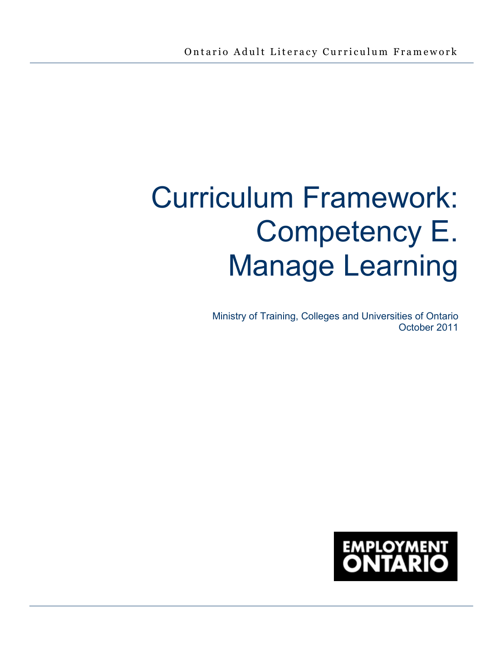# Curriculum Framework: Competency E. Manage Learning

Ministry of Training, Colleges and Universities of Ontario October 2011

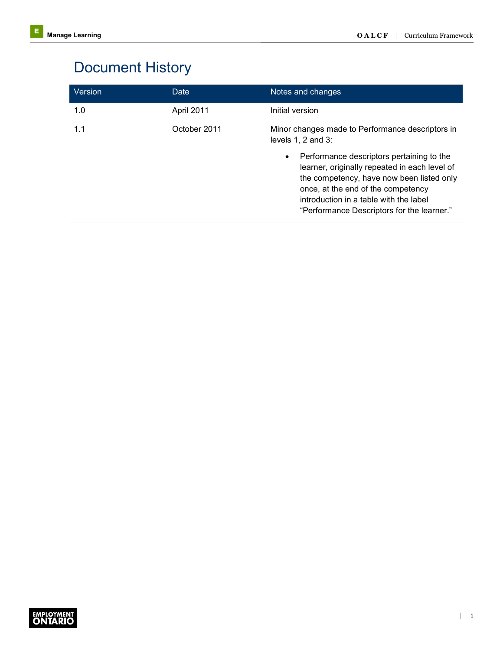# Document History

| <b>Version</b> | Date         | Notes and changes                                                                                                                                                                                                                                                                  |
|----------------|--------------|------------------------------------------------------------------------------------------------------------------------------------------------------------------------------------------------------------------------------------------------------------------------------------|
| 1.0            | April 2011   | Initial version                                                                                                                                                                                                                                                                    |
| 1.1            | October 2011 | Minor changes made to Performance descriptors in<br>levels $1, 2$ and $3$ :                                                                                                                                                                                                        |
|                |              | Performance descriptors pertaining to the<br>$\bullet$<br>learner, originally repeated in each level of<br>the competency, have now been listed only<br>once, at the end of the competency<br>introduction in a table with the label<br>"Performance Descriptors for the learner." |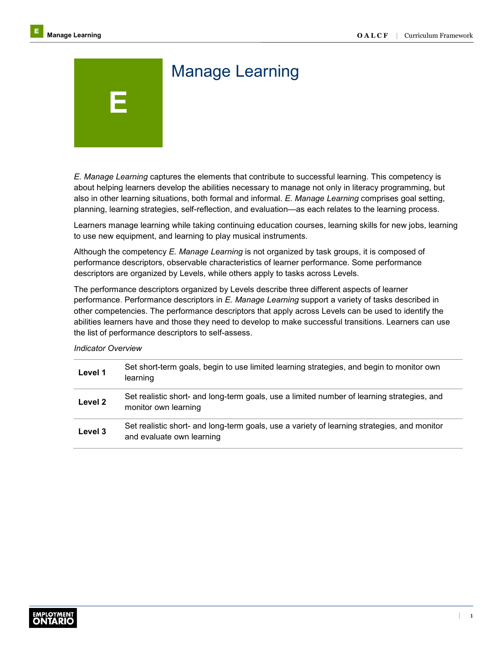# Manage Learning

*E. Manage Learning* captures the elements that contribute to successful learning. This competency is about helping learners develop the abilities necessary to manage not only in literacy programming, but also in other learning situations, both formal and informal. *E. Manage Learning* comprises goal setting, planning, learning strategies, self-reflection, and evaluation—as each relates to the learning process.

Learners manage learning while taking continuing education courses, learning skills for new jobs, learning to use new equipment, and learning to play musical instruments.

Although the competency *E. Manage Learning* is not organized by task groups, it is composed of performance descriptors, observable characteristics of learner performance. Some performance descriptors are organized by Levels, while others apply to tasks across Levels.

The performance descriptors organized by Levels describe three different aspects of learner performance. Performance descriptors in *E. Manage Learning* support a variety of tasks described in other competencies. The performance descriptors that apply across Levels can be used to identify the abilities learners have and those they need to develop to make successful transitions. Learners can use the list of performance descriptors to self-assess.

## *Indicator Overview*

**E** 

| Level 1 | Set short-term goals, begin to use limited learning strategies, and begin to monitor own<br>learning                     |
|---------|--------------------------------------------------------------------------------------------------------------------------|
| Level 2 | Set realistic short- and long-term goals, use a limited number of learning strategies, and<br>monitor own learning       |
| Level 3 | Set realistic short- and long-term goals, use a variety of learning strategies, and monitor<br>and evaluate own learning |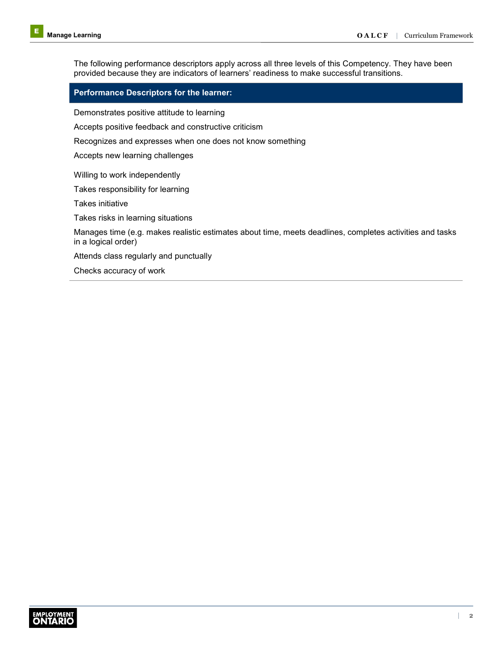The following performance descriptors apply across all three levels of this Competency. They have been provided because they are indicators of learners' readiness to make successful transitions.

## **Performance Descriptors for the learner:**

Demonstrates positive attitude to learning

Accepts positive feedback and constructive criticism

Recognizes and expresses when one does not know something

Accepts new learning challenges

Willing to work independently

Takes responsibility for learning

Takes initiative

Takes risks in learning situations

Manages time (e.g. makes realistic estimates about time, meets deadlines, completes activities and tasks in a logical order)

Attends class regularly and punctually

Checks accuracy of work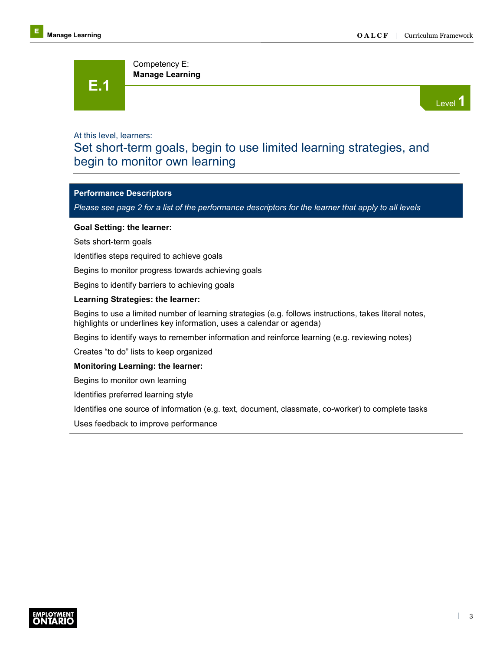**E.1** 

Level **1** 

## At this level, learners:

## Set short-term goals, begin to use limited learning strategies, and begin to monitor own learning

## **Performance Descriptors**

*Please see page 2 for a list of the performance descriptors for the learner that apply to all levels* 

## **Goal Setting: the learner:**

Sets short-term goals

Identifies steps required to achieve goals

Begins to monitor progress towards achieving goals

Competency E: **Manage Learning**

Begins to identify barriers to achieving goals

## **Learning Strategies: the learner:**

Begins to use a limited number of learning strategies (e.g. follows instructions, takes literal notes, highlights or underlines key information, uses a calendar or agenda)

Begins to identify ways to remember information and reinforce learning (e.g. reviewing notes)

Creates "to do" lists to keep organized

## **Monitoring Learning: the learner:**

Begins to monitor own learning

Identifies preferred learning style

Identifies one source of information (e.g. text, document, classmate, co-worker) to complete tasks

Uses feedback to improve performance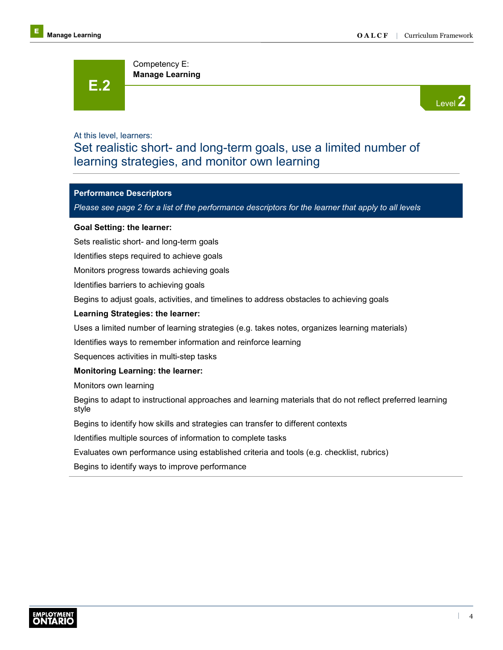**E.2** 

Level **2** 

## At this level, learners:

## Set realistic short- and long-term goals, use a limited number of learning strategies, and monitor own learning

## **Performance Descriptors**

*Please see page 2 for a list of the performance descriptors for the learner that apply to all levels*

## **Goal Setting: the learner:**

Sets realistic short- and long-term goals

Identifies steps required to achieve goals

Monitors progress towards achieving goals

Competency E: **Manage Learning**

Identifies barriers to achieving goals

Begins to adjust goals, activities, and timelines to address obstacles to achieving goals

## **Learning Strategies: the learner:**

Uses a limited number of learning strategies (e.g. takes notes, organizes learning materials)

Identifies ways to remember information and reinforce learning

Sequences activities in multi-step tasks

## **Monitoring Learning: the learner:**

Monitors own learning

Begins to adapt to instructional approaches and learning materials that do not reflect preferred learning style

Begins to identify how skills and strategies can transfer to different contexts

Identifies multiple sources of information to complete tasks

Evaluates own performance using established criteria and tools (e.g. checklist, rubrics)

Begins to identify ways to improve performance